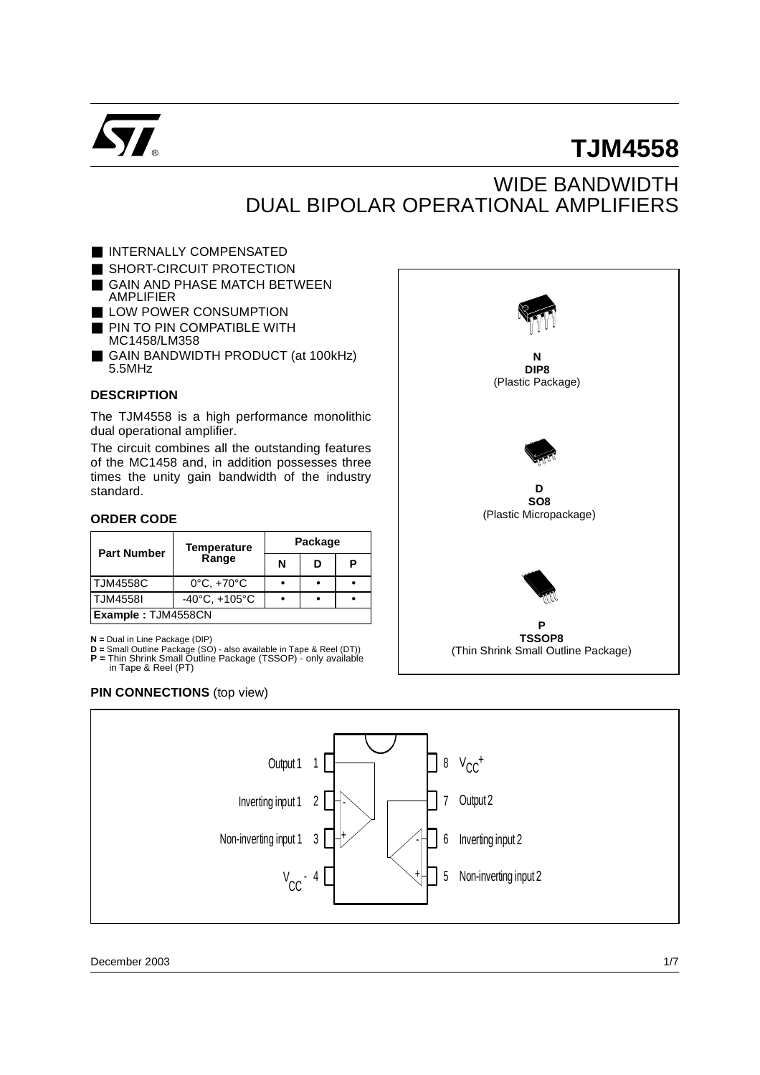

# **TJM4558**

# WIDE BANDWIDTH DUAL BIPOLAR OPERATIONAL AMPLIFIERS

**N DIP8** (Plastic Package)

- INTERNALLY COMPENSATED
- SHORT-CIRCUIT PROTECTION
- GAIN AND PHASE MATCH BETWEEN AMPLIFIER
- LOW POWER CONSUMPTION
- PIN TO PIN COMPATIBLE WITH MC1458/LM358
- GAIN BANDWIDTH PRODUCT (at 100kHz) 5.5MHz

#### **DESCRIPTION**

The TJM4558 is a high performance monolithic dual operational amplifier.

The circuit combines all the outstanding features of the MC1458 and, in addition possesses three times the unity gain bandwidth of the industry standard.

#### **ORDER CODE**

| <b>Part Number</b>        | Temperature                       | Package |   |   |  |  |  |
|---------------------------|-----------------------------------|---------|---|---|--|--|--|
|                           | Range                             | N       | D | Р |  |  |  |
| <b>TJM4558C</b>           | $0^{\circ}$ C, $+70^{\circ}$ C    |         |   |   |  |  |  |
| <b>TJM4558I</b>           | $-40^{\circ}$ C, $+105^{\circ}$ C |         |   |   |  |  |  |
| <b>Example: TJM4558CN</b> |                                   |         |   |   |  |  |  |

**N =** Dual in Line Package (DIP)

- 
- 

#### **PIN CONNECTIONS** (top view)

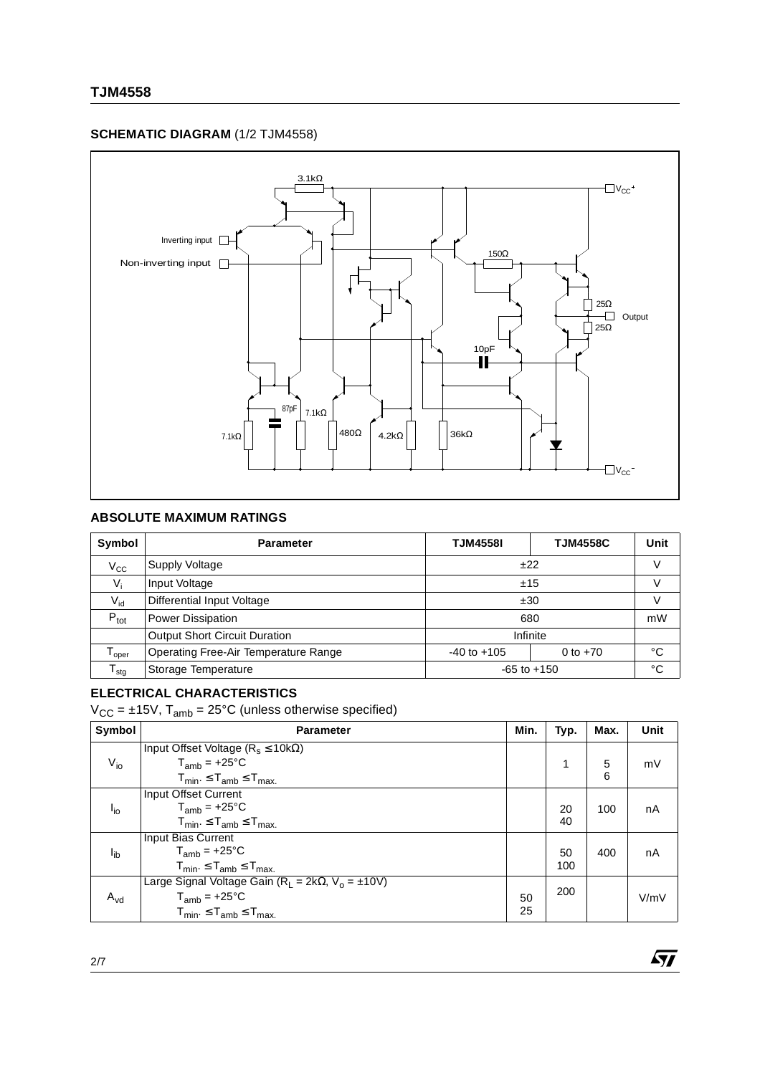### **SCHEMATIC DIAGRAM** (1/2 TJM4558)



# **ABSOLUTE MAXIMUM RATINGS**

| Symbol            | <b>Parameter</b>                       | <b>TJM4558I</b> | <b>TJM4558C</b> | Unit |
|-------------------|----------------------------------------|-----------------|-----------------|------|
| $V_{\rm CC}$      | <b>Supply Voltage</b>                  | ±22             | V               |      |
| $V_i$             | Input Voltage                          | ±15             | V               |      |
| $V_{id}$          | <b>Differential Input Voltage</b>      | ±30             | $\vee$          |      |
| $P_{\text{tot}}$  | <b>Power Dissipation</b>               | 680             |                 | mW   |
|                   | <b>Output Short Circuit Duration</b>   | Infinite        |                 |      |
| l <sub>Oper</sub> | Operating Free-Air Temperature Range   | $-40$ to $+105$ | 0 to $+70$      | °C   |
| $T_{\text{stg}}$  | Storage Temperature<br>$-65$ to $+150$ |                 |                 | °C   |

# **ELECTRICAL CHARACTERISTICS**

 $V_{CC} = \pm 15V$ ,  $T_{amb} = 25^{\circ}C$  (unless otherwise specified)

| Symbol   | <b>Parameter</b>                                                 | Min. | Typ. | Max. | <b>Unit</b> |
|----------|------------------------------------------------------------------|------|------|------|-------------|
|          | Input Offset Voltage ( $R_s \le 10k\Omega$ )                     |      |      |      |             |
| $V_{i0}$ | $T_{amb}$ = +25°C                                                |      |      | 5    | mV          |
|          | $T_{min}$ . $\leq T_{amb} \leq T_{max}$ .                        |      |      | 6    |             |
|          | Input Offset Current                                             |      |      |      |             |
| $I_{io}$ | $T_{amb}$ = +25°C                                                |      | 20   | 100  | nA          |
|          | $T_{min}$ . $\leq T_{amb} \leq T_{max}$ .                        |      | 40   |      |             |
|          | Input Bias Current                                               |      |      |      |             |
| $I_{ib}$ | $T_{amb}$ = +25°C                                                |      | 50   | 400  | nA          |
|          | $T_{min} \leq T_{amb} \leq T_{max}$                              |      | 100  |      |             |
| $A_{vd}$ | Large Signal Voltage Gain ( $R_1 = 2k\Omega$ , $V_0 = \pm 10V$ ) |      |      |      |             |
|          | $T_{amb}$ = +25°C                                                | 50   | 200  |      | V/mV        |
|          | $T_{min} \leq T_{amb} \leq T_{max}$                              | 25   |      |      |             |

 $\sqrt{M}$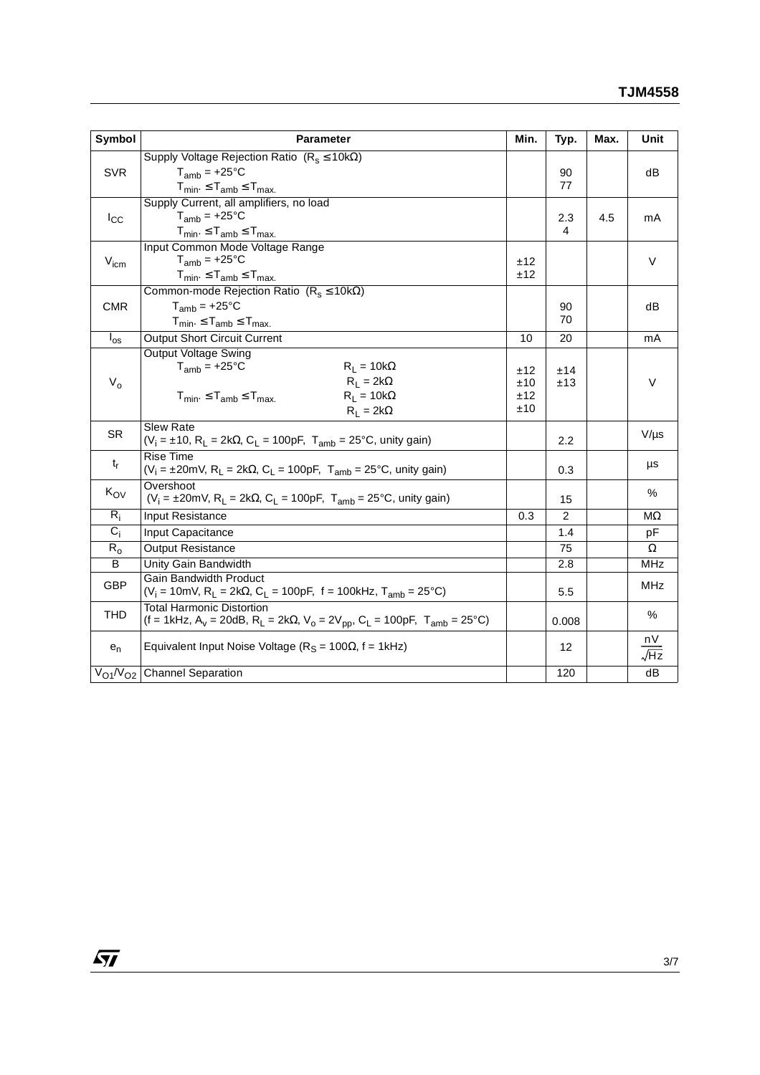| Symbol           | <b>Parameter</b>                                                                                                                                      | Min. | Typ.           | Max. | Unit       |
|------------------|-------------------------------------------------------------------------------------------------------------------------------------------------------|------|----------------|------|------------|
|                  | Supply Voltage Rejection Ratio $(R_s \le 10k\Omega)$                                                                                                  |      |                |      |            |
| <b>SVR</b>       | $T_{amb}$ = +25 $^{\circ}$ C                                                                                                                          |      | 90             |      | dB         |
|                  | $T_{min} \leq T_{amb} \leq T_{max}$                                                                                                                   |      | 77             |      |            |
|                  | Supply Current, all amplifiers, no load                                                                                                               |      |                |      |            |
| $I_{\rm CC}$     | $T_{amb}$ = +25°C                                                                                                                                     |      | 2.3            | 4.5  | mA         |
|                  | $T_{min}$ . $\leq T_{amb} \leq T_{max}$ .                                                                                                             |      | 4              |      |            |
|                  | Input Common Mode Voltage Range                                                                                                                       |      |                |      |            |
| $V_{\text{icm}}$ | $T_{amb}$ = +25 $^{\circ}$ C                                                                                                                          | ±12  |                |      | $\vee$     |
|                  | $T_{min} \leq T_{amb} \leq T_{max}$                                                                                                                   | ±12  |                |      |            |
|                  | Common-mode Rejection Ratio $(R_s \le 10k\Omega)$                                                                                                     |      |                |      |            |
| <b>CMR</b>       | $T_{amb}$ = +25°C                                                                                                                                     |      | 90             |      | dB         |
|                  | $T_{min} \leq T_{amb} \leq T_{max}$                                                                                                                   |      | 70             |      |            |
| $I_{\rm os}$     | <b>Output Short Circuit Current</b>                                                                                                                   | 10   | 20             |      | mA         |
|                  | <b>Output Voltage Swing</b>                                                                                                                           |      |                |      |            |
|                  | $T_{amb}$ = +25 $\degree$ C<br>$R_1 = 10k\Omega$                                                                                                      | ±12  | ±14            |      |            |
| $V_{o}$          | $R_1 = 2k\Omega$                                                                                                                                      | ±10  | ±13            |      | $\vee$     |
|                  | $R_1 = 10k\Omega$<br>$T_{min} \leq T_{amb} \leq T_{max}$                                                                                              | ±12  |                |      |            |
|                  | $R_L = 2k\Omega$                                                                                                                                      | ±10  |                |      |            |
| <b>SR</b>        | <b>Slew Rate</b><br>$(V_i = \pm 10, R_L = 2k\Omega, C_L = 100pF, T_{amb} = 25^{\circ}C$ , unity gain)                                                 |      | 2.2            |      | $V/\mu s$  |
|                  | <b>Rise Time</b>                                                                                                                                      |      |                |      |            |
| $t_{r}$          | $(V_i = \pm 20$ mV, R <sub>L</sub> = 2kΩ, C <sub>L</sub> = 100pF, T <sub>amb</sub> = 25°C, unity gain)                                                |      | 0.3            |      | μs         |
|                  | Overshoot                                                                                                                                             |      |                |      |            |
| $K_{OV}$         | $(V_i = \pm 20$ mV, R <sub>1</sub> = 2k $\Omega$ , C <sub>1</sub> = 100pF, T <sub>amb</sub> = 25°C, unity gain)                                       |      | 15             |      | $\%$       |
| $R_i$            | Input Resistance                                                                                                                                      | 0.3  | $\overline{2}$ |      | МΩ         |
| $C_i$            | Input Capacitance                                                                                                                                     |      | 1.4            |      | pF         |
| $R_{o}$          | <b>Output Resistance</b>                                                                                                                              |      | 75             |      | $\Omega$   |
| B                | <b>Unity Gain Bandwidth</b>                                                                                                                           |      | 2.8            |      | <b>MHz</b> |
| <b>GBP</b>       | <b>Gain Bandwidth Product</b>                                                                                                                         |      |                |      | <b>MHz</b> |
|                  | (V <sub>i</sub> = 10mV, R <sub>L</sub> = 2k $\Omega$ , C <sub>L</sub> = 100pF, f = 100kHz, T <sub>amb</sub> = 25°C)                                   |      | 5.5            |      |            |
| <b>THD</b>       | <b>Total Harmonic Distortion</b>                                                                                                                      |      |                |      | %          |
|                  | (f = 1kHz, A <sub>v</sub> = 20dB, R <sub>L</sub> = 2k $\Omega$ , V <sub>o</sub> = 2V <sub>pp</sub> , C <sub>L</sub> = 100pF, T <sub>amb</sub> = 25°C) |      | 0.008          |      |            |
| $e_n$            | Equivalent Input Noise Voltage ( $R_S$ = 100 $\Omega$ , f = 1kHz)                                                                                     |      | 12             |      | nV         |
|                  |                                                                                                                                                       |      |                |      | √Hz        |
|                  | $V_{O1}/V_{O2}$ Channel Separation                                                                                                                    |      | 120            |      | dB         |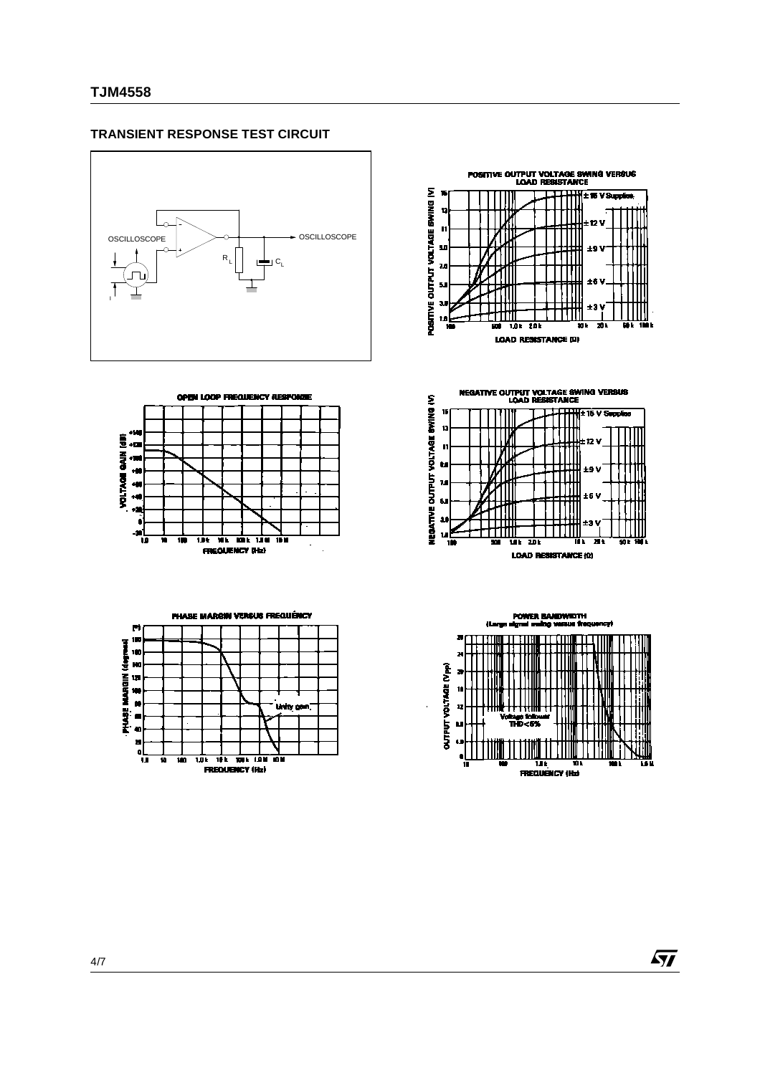#### **TRANSIENT RESPONSE TEST CIRCUIT**









**NEGATIVE OUTPUT VOLTAGE SWING VERSUS**<br>LOAD RESISTANCE





 $\sqrt{27}$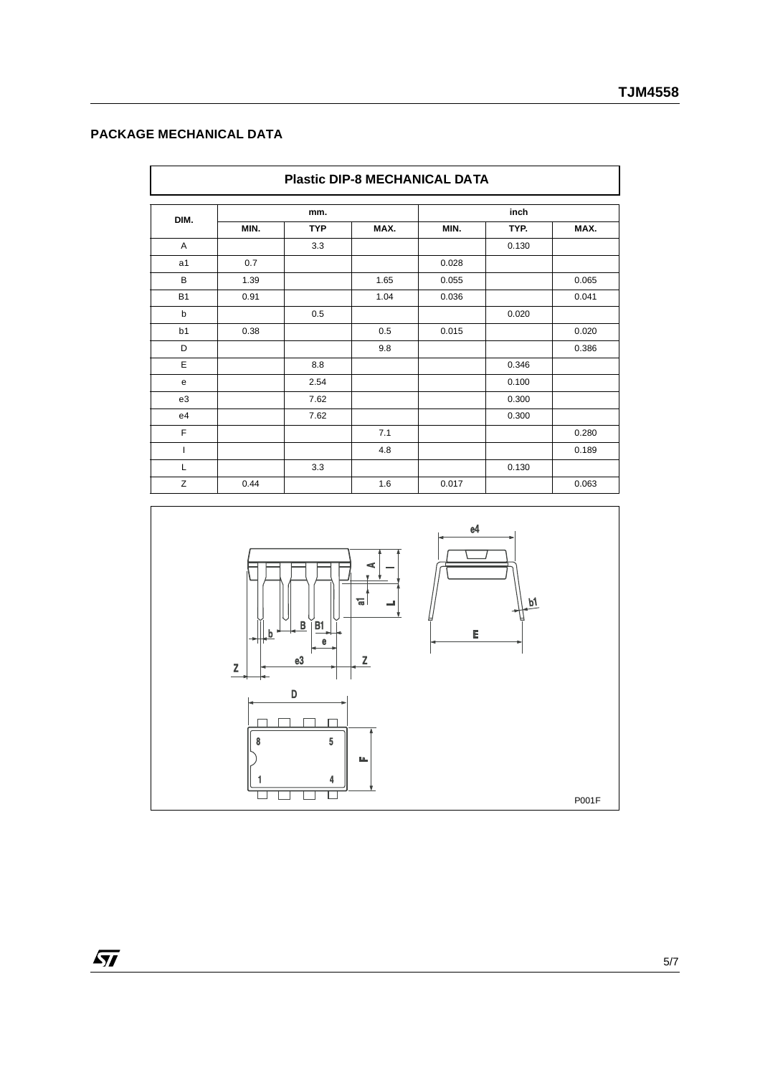# **PACKAGE MECHANICAL DATA**

| <b>Plastic DIP-8 MECHANICAL DATA</b> |      |            |      |       |       |       |  |
|--------------------------------------|------|------------|------|-------|-------|-------|--|
| DIM.                                 | mm.  |            |      | inch  |       |       |  |
|                                      | MIN. | <b>TYP</b> | MAX. | MIN.  | TYP.  | MAX.  |  |
| A                                    |      | 3.3        |      |       | 0.130 |       |  |
| a <sub>1</sub>                       | 0.7  |            |      | 0.028 |       |       |  |
| B                                    | 1.39 |            | 1.65 | 0.055 |       | 0.065 |  |
| <b>B1</b>                            | 0.91 |            | 1.04 | 0.036 |       | 0.041 |  |
| b                                    |      | 0.5        |      |       | 0.020 |       |  |
| b <sub>1</sub>                       | 0.38 |            | 0.5  | 0.015 |       | 0.020 |  |
| D                                    |      |            | 9.8  |       |       | 0.386 |  |
| E                                    |      | 8.8        |      |       | 0.346 |       |  |
| e                                    |      | 2.54       |      |       | 0.100 |       |  |
| e3                                   |      | 7.62       |      |       | 0.300 |       |  |
| e4                                   |      | 7.62       |      |       | 0.300 |       |  |
| F                                    |      |            | 7.1  |       |       | 0.280 |  |
|                                      |      |            | 4.8  |       |       | 0.189 |  |
| L                                    |      | 3.3        |      |       | 0.130 |       |  |
| Z                                    | 0.44 |            | 1.6  | 0.017 |       | 0.063 |  |



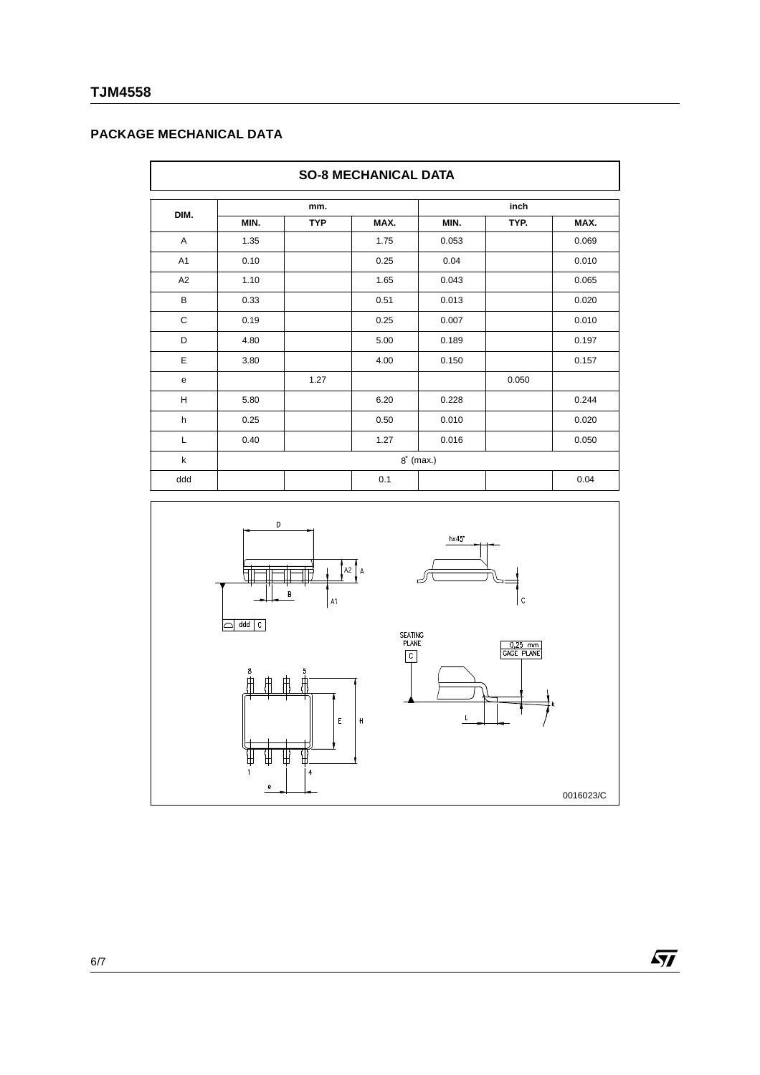# **TJM4558**

# **PACKAGE MECHANICAL DATA**

|                | <b>SO-8 MECHANICAL DATA</b> |            |      |       |       |       |  |  |
|----------------|-----------------------------|------------|------|-------|-------|-------|--|--|
|                | mm.                         |            |      | inch  |       |       |  |  |
| DIM.           | MIN.                        | <b>TYP</b> | MAX. | MIN.  | TYP.  | MAX.  |  |  |
| A              | 1.35                        |            | 1.75 | 0.053 |       | 0.069 |  |  |
| A <sub>1</sub> | 0.10                        |            | 0.25 | 0.04  |       | 0.010 |  |  |
| A <sub>2</sub> | 1.10                        |            | 1.65 | 0.043 |       | 0.065 |  |  |
| B              | 0.33                        |            | 0.51 | 0.013 |       | 0.020 |  |  |
| $\mathbf C$    | 0.19                        |            | 0.25 | 0.007 |       | 0.010 |  |  |
| D              | 4.80                        |            | 5.00 | 0.189 |       | 0.197 |  |  |
| E              | 3.80                        |            | 4.00 | 0.150 |       | 0.157 |  |  |
| e              |                             | 1.27       |      |       | 0.050 |       |  |  |
| H              | 5.80                        |            | 6.20 | 0.228 |       | 0.244 |  |  |
| h              | 0.25                        |            | 0.50 | 0.010 |       | 0.020 |  |  |
| L              | 0.40                        |            | 1.27 | 0.016 |       | 0.050 |  |  |
| k              | $8^\circ$ (max.)            |            |      |       |       |       |  |  |
| ddd            |                             |            | 0.1  |       |       | 0.04  |  |  |